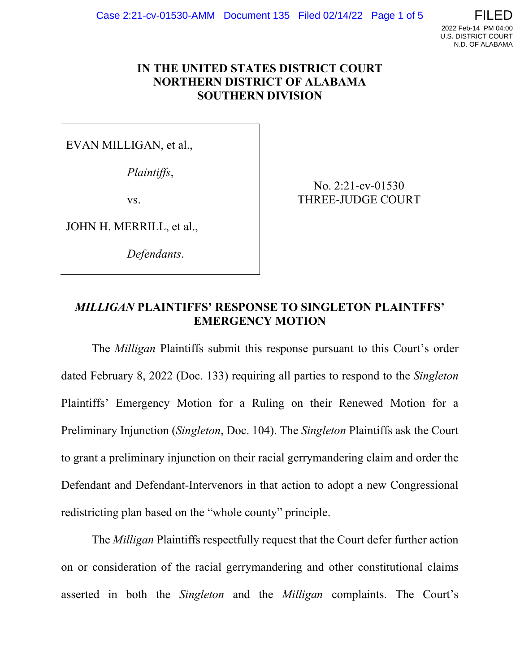

## **IN THE UNITED STATES DISTRICT COURT NORTHERN DISTRICT OF ALABAMA SOUTHERN DIVISION**

EVAN MILLIGAN, et al.,

*Plaintiffs*,

vs.

JOHN H. MERRILL, et al.,

*Defendants*.

No. 2:21-cv-01530 THREE-JUDGE COURT

## *MILLIGAN* **PLAINTIFFS' RESPONSE TO SINGLETON PLAINTFFS' EMERGENCY MOTION**

The *Milligan* Plaintiffs submit this response pursuant to this Court's order dated February 8, 2022 (Doc. 133) requiring all parties to respond to the *Singleton* Plaintiffs' Emergency Motion for a Ruling on their Renewed Motion for a Preliminary Injunction (*Singleton*, Doc. 104). The *Singleton* Plaintiffs ask the Court to grant a preliminary injunction on their racial gerrymandering claim and order the Defendant and Defendant-Intervenors in that action to adopt a new Congressional redistricting plan based on the "whole county" principle.

The *Milligan* Plaintiffs respectfully request that the Court defer further action on or consideration of the racial gerrymandering and other constitutional claims asserted in both the *Singleton* and the *Milligan* complaints. The Court's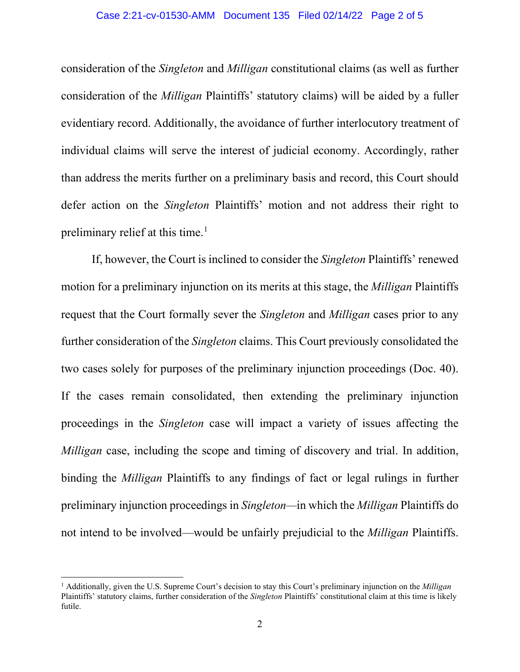#### Case 2:21-cv-01530-AMM Document 135 Filed 02/14/22 Page 2 of 5

consideration of the *Singleton* and *Milligan* constitutional claims (as well as further consideration of the *Milligan* Plaintiffs' statutory claims) will be aided by a fuller evidentiary record. Additionally, the avoidance of further interlocutory treatment of individual claims will serve the interest of judicial economy. Accordingly, rather than address the merits further on a preliminary basis and record, this Court should defer action on the *Singleton* Plaintiffs' motion and not address their right to preliminary relief at this time. 1

If, however, the Court is inclined to consider the *Singleton* Plaintiffs' renewed motion for a preliminary injunction on its merits at this stage, the *Milligan* Plaintiffs request that the Court formally sever the *Singleton* and *Milligan* cases prior to any further consideration of the *Singleton* claims. This Court previously consolidated the two cases solely for purposes of the preliminary injunction proceedings (Doc. 40). If the cases remain consolidated, then extending the preliminary injunction proceedings in the *Singleton* case will impact a variety of issues affecting the *Milligan* case, including the scope and timing of discovery and trial. In addition, binding the *Milligan* Plaintiffs to any findings of fact or legal rulings in further preliminary injunction proceedings in *Singleton—*in which the *Milligan* Plaintiffs do not intend to be involved—would be unfairly prejudicial to the *Milligan* Plaintiffs.

<sup>1</sup> Additionally, given the U.S. Supreme Court's decision to stay this Court's preliminary injunction on the *Milligan* Plaintiffs' statutory claims, further consideration of the *Singleton* Plaintiffs' constitutional claim at this time is likely futile.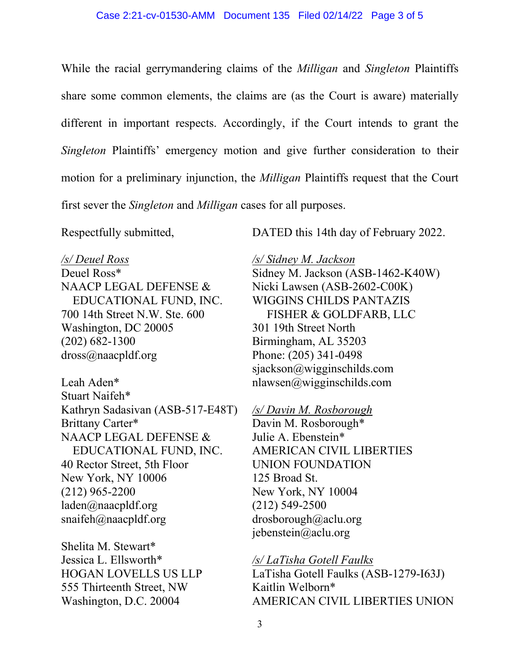While the racial gerrymandering claims of the *Milligan* and *Singleton* Plaintiffs share some common elements, the claims are (as the Court is aware) materially different in important respects. Accordingly, if the Court intends to grant the *Singleton* Plaintiffs' emergency motion and give further consideration to their motion for a preliminary injunction, the *Milligan* Plaintiffs request that the Court first sever the *Singleton* and *Milligan* cases for all purposes.

Respectfully submitted,

DATED this 14th day of February 2022.

#### */s/ Deuel Ross*

Deuel Ross\* NAACP LEGAL DEFENSE & EDUCATIONAL FUND, INC. 700 14th Street N.W. Ste. 600 Washington, DC 20005 (202) 682-1300 dross@naacpldf.org

Leah Aden\* Stuart Naifeh\* Kathryn Sadasivan (ASB-517-E48T) Brittany Carter\* NAACP LEGAL DEFENSE & EDUCATIONAL FUND, INC. 40 Rector Street, 5th Floor New York, NY 10006 (212) 965-2200 laden@naacpldf.org snaifeh@naacpldf.org

Shelita M. Stewart\* Jessica L. Ellsworth\* HOGAN LOVELLS US LLP 555 Thirteenth Street, NW Washington, D.C. 20004

*/s/ Sidney M. Jackson* Sidney M. Jackson (ASB-1462-K40W) Nicki Lawsen (ASB-2602-C00K) WIGGINS CHILDS PANTAZIS FISHER & GOLDFARB, LLC 301 19th Street North Birmingham, AL 35203 Phone: (205) 341-0498 sjackson@wigginschilds.com nlawsen@wigginschilds.com

### */s/ Davin M. Rosborough*

Davin M. Rosborough\* Julie A. Ebenstein\* AMERICAN CIVIL LIBERTIES UNION FOUNDATION 125 Broad St. New York, NY 10004 (212) 549-2500 drosborough@aclu.org jebenstein@aclu.org

*/s/ LaTisha Gotell Faulks* LaTisha Gotell Faulks (ASB-1279-I63J) Kaitlin Welborn\* AMERICAN CIVIL LIBERTIES UNION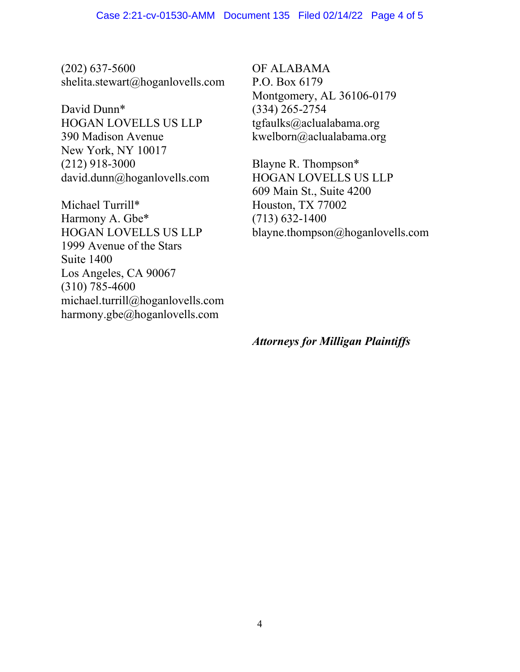(202) 637-5600 shelita.stewart@hoganlovells.com

David Dunn\* HOGAN LOVELLS US LLP 390 Madison Avenue New York, NY 10017 (212) 918-3000 david.dunn@hoganlovells.com

Michael Turrill\* Harmony A. Gbe\* HOGAN LOVELLS US LLP 1999 Avenue of the Stars Suite 1400 Los Angeles, CA 90067 (310) 785-4600 michael.turrill@hoganlovells.com harmony.gbe@hoganlovells.com

OF ALABAMA P.O. Box 6179 Montgomery, AL 36106-0179 (334) 265-2754 tgfaulks@aclualabama.org kwelborn@aclualabama.org

Blayne R. Thompson\* HOGAN LOVELLS US LLP 609 Main St., Suite 4200 Houston, TX 77002 (713) 632-1400 blayne.thompson@hoganlovells.com

*Attorneys for Milligan Plaintiffs*